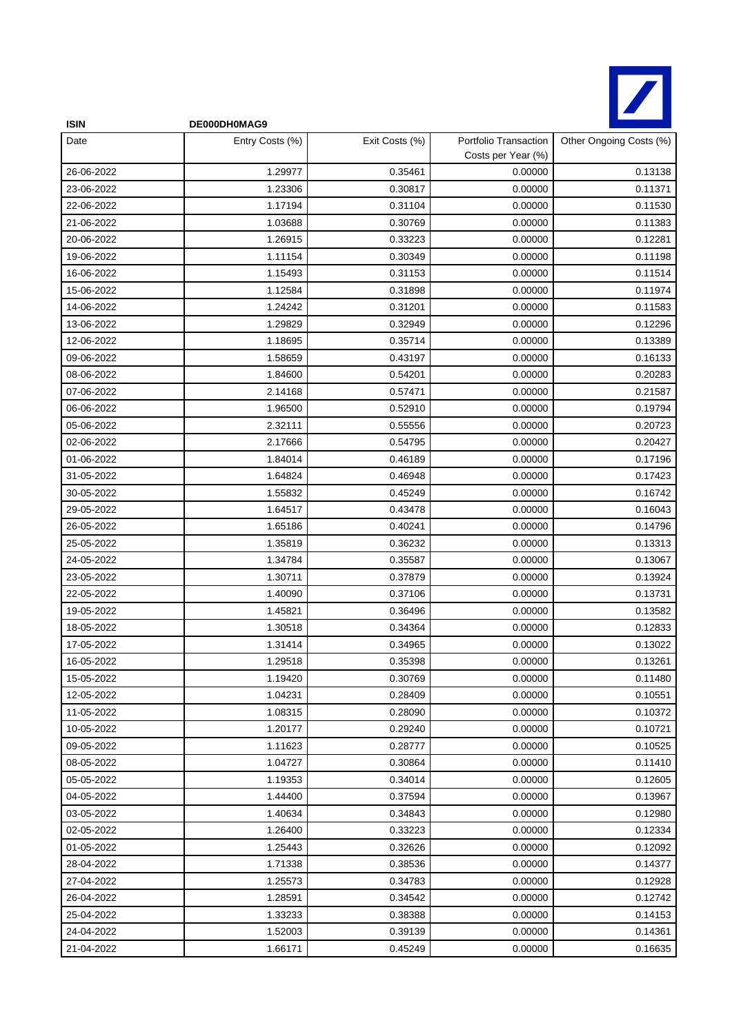

| <b>ISIN</b> | DE000DH0MAG9    |                |                                             |                         |
|-------------|-----------------|----------------|---------------------------------------------|-------------------------|
| Date        | Entry Costs (%) | Exit Costs (%) | Portfolio Transaction<br>Costs per Year (%) | Other Ongoing Costs (%) |
| 26-06-2022  | 1.29977         | 0.35461        | 0.00000                                     | 0.13138                 |
| 23-06-2022  | 1.23306         | 0.30817        | 0.00000                                     | 0.11371                 |
| 22-06-2022  | 1.17194         | 0.31104        | 0.00000                                     | 0.11530                 |
| 21-06-2022  | 1.03688         | 0.30769        | 0.00000                                     | 0.11383                 |
| 20-06-2022  | 1.26915         | 0.33223        | 0.00000                                     | 0.12281                 |
| 19-06-2022  | 1.11154         | 0.30349        | 0.00000                                     | 0.11198                 |
| 16-06-2022  | 1.15493         | 0.31153        | 0.00000                                     | 0.11514                 |
| 15-06-2022  | 1.12584         | 0.31898        | 0.00000                                     | 0.11974                 |
| 14-06-2022  | 1.24242         | 0.31201        | 0.00000                                     | 0.11583                 |
| 13-06-2022  | 1.29829         | 0.32949        | 0.00000                                     | 0.12296                 |
| 12-06-2022  | 1.18695         | 0.35714        | 0.00000                                     | 0.13389                 |
| 09-06-2022  | 1.58659         | 0.43197        | 0.00000                                     | 0.16133                 |
| 08-06-2022  | 1.84600         | 0.54201        | 0.00000                                     | 0.20283                 |
| 07-06-2022  | 2.14168         | 0.57471        | 0.00000                                     | 0.21587                 |
| 06-06-2022  | 1.96500         | 0.52910        | 0.00000                                     | 0.19794                 |
| 05-06-2022  | 2.32111         | 0.55556        | 0.00000                                     | 0.20723                 |
| 02-06-2022  | 2.17666         | 0.54795        | 0.00000                                     | 0.20427                 |
| 01-06-2022  | 1.84014         | 0.46189        | 0.00000                                     | 0.17196                 |
| 31-05-2022  | 1.64824         | 0.46948        | 0.00000                                     | 0.17423                 |
| 30-05-2022  | 1.55832         | 0.45249        | 0.00000                                     | 0.16742                 |
| 29-05-2022  | 1.64517         | 0.43478        | 0.00000                                     | 0.16043                 |
| 26-05-2022  | 1.65186         | 0.40241        | 0.00000                                     | 0.14796                 |
| 25-05-2022  | 1.35819         | 0.36232        | 0.00000                                     | 0.13313                 |
| 24-05-2022  | 1.34784         | 0.35587        | 0.00000                                     | 0.13067                 |
| 23-05-2022  | 1.30711         | 0.37879        | 0.00000                                     | 0.13924                 |
| 22-05-2022  | 1.40090         | 0.37106        | 0.00000                                     | 0.13731                 |
| 19-05-2022  | 1.45821         | 0.36496        | 0.00000                                     | 0.13582                 |
| 18-05-2022  | 1.30518         | 0.34364        | 0.00000                                     | 0.12833                 |
| 17-05-2022  | 1.31414         | 0.34965        | 0.00000                                     | 0.13022                 |
| 16-05-2022  | 1.29518         | 0.35398        | 0.00000                                     | 0.13261                 |
| 15-05-2022  | 1.19420         | 0.30769        | 0.00000                                     | 0.11480                 |
| 12-05-2022  | 1.04231         | 0.28409        | 0.00000                                     | 0.10551                 |
| 11-05-2022  | 1.08315         | 0.28090        | 0.00000                                     | 0.10372                 |
| 10-05-2022  | 1.20177         | 0.29240        | 0.00000                                     | 0.10721                 |
| 09-05-2022  | 1.11623         | 0.28777        | 0.00000                                     | 0.10525                 |
| 08-05-2022  | 1.04727         | 0.30864        | 0.00000                                     | 0.11410                 |
| 05-05-2022  | 1.19353         | 0.34014        | 0.00000                                     | 0.12605                 |
| 04-05-2022  | 1.44400         | 0.37594        | 0.00000                                     | 0.13967                 |
| 03-05-2022  | 1.40634         | 0.34843        | 0.00000                                     | 0.12980                 |
| 02-05-2022  | 1.26400         | 0.33223        | 0.00000                                     | 0.12334                 |
| 01-05-2022  | 1.25443         | 0.32626        | 0.00000                                     | 0.12092                 |
| 28-04-2022  | 1.71338         | 0.38536        | 0.00000                                     | 0.14377                 |
| 27-04-2022  | 1.25573         | 0.34783        | 0.00000                                     | 0.12928                 |
| 26-04-2022  | 1.28591         | 0.34542        | 0.00000                                     | 0.12742                 |
| 25-04-2022  | 1.33233         | 0.38388        | 0.00000                                     | 0.14153                 |
| 24-04-2022  | 1.52003         | 0.39139        | 0.00000                                     | 0.14361                 |
| 21-04-2022  | 1.66171         | 0.45249        | 0.00000                                     | 0.16635                 |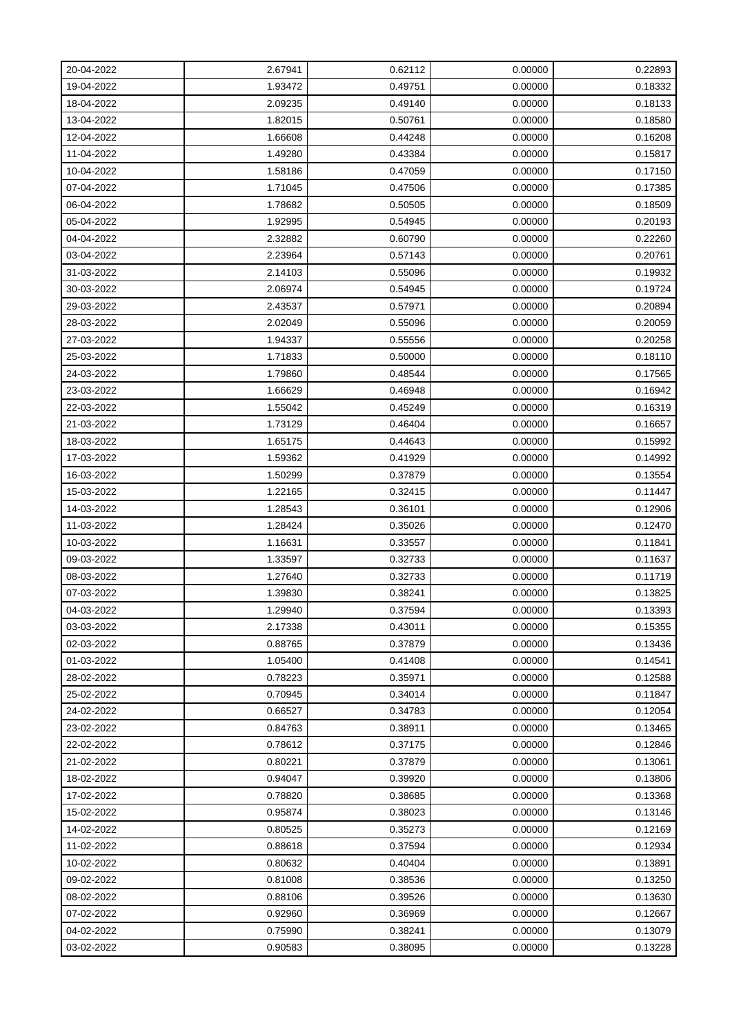| 20-04-2022 | 2.67941 | 0.62112 | 0.00000 | 0.22893 |
|------------|---------|---------|---------|---------|
| 19-04-2022 | 1.93472 | 0.49751 | 0.00000 | 0.18332 |
| 18-04-2022 | 2.09235 | 0.49140 | 0.00000 | 0.18133 |
| 13-04-2022 | 1.82015 | 0.50761 | 0.00000 | 0.18580 |
| 12-04-2022 | 1.66608 | 0.44248 | 0.00000 | 0.16208 |
| 11-04-2022 | 1.49280 | 0.43384 | 0.00000 | 0.15817 |
| 10-04-2022 | 1.58186 | 0.47059 | 0.00000 | 0.17150 |
| 07-04-2022 | 1.71045 | 0.47506 | 0.00000 | 0.17385 |
| 06-04-2022 | 1.78682 | 0.50505 | 0.00000 | 0.18509 |
| 05-04-2022 | 1.92995 | 0.54945 | 0.00000 | 0.20193 |
| 04-04-2022 | 2.32882 | 0.60790 | 0.00000 | 0.22260 |
| 03-04-2022 | 2.23964 | 0.57143 | 0.00000 | 0.20761 |
| 31-03-2022 | 2.14103 | 0.55096 | 0.00000 | 0.19932 |
| 30-03-2022 | 2.06974 | 0.54945 | 0.00000 | 0.19724 |
| 29-03-2022 | 2.43537 | 0.57971 | 0.00000 | 0.20894 |
| 28-03-2022 | 2.02049 | 0.55096 | 0.00000 | 0.20059 |
| 27-03-2022 | 1.94337 | 0.55556 | 0.00000 | 0.20258 |
| 25-03-2022 | 1.71833 | 0.50000 | 0.00000 | 0.18110 |
| 24-03-2022 | 1.79860 | 0.48544 | 0.00000 | 0.17565 |
| 23-03-2022 | 1.66629 | 0.46948 | 0.00000 | 0.16942 |
| 22-03-2022 | 1.55042 | 0.45249 | 0.00000 | 0.16319 |
| 21-03-2022 | 1.73129 | 0.46404 | 0.00000 | 0.16657 |
| 18-03-2022 | 1.65175 | 0.44643 | 0.00000 | 0.15992 |
| 17-03-2022 | 1.59362 | 0.41929 | 0.00000 | 0.14992 |
| 16-03-2022 | 1.50299 | 0.37879 | 0.00000 | 0.13554 |
| 15-03-2022 | 1.22165 | 0.32415 | 0.00000 | 0.11447 |
| 14-03-2022 | 1.28543 | 0.36101 | 0.00000 | 0.12906 |
| 11-03-2022 | 1.28424 | 0.35026 | 0.00000 | 0.12470 |
| 10-03-2022 | 1.16631 | 0.33557 | 0.00000 | 0.11841 |
| 09-03-2022 | 1.33597 | 0.32733 | 0.00000 | 0.11637 |
| 08-03-2022 | 1.27640 | 0.32733 | 0.00000 | 0.11719 |
| 07-03-2022 | 1.39830 | 0.38241 | 0.00000 | 0.13825 |
| 04-03-2022 | 1.29940 | 0.37594 | 0.00000 | 0.13393 |
| 03-03-2022 | 2.17338 | 0.43011 | 0.00000 | 0.15355 |
| 02-03-2022 | 0.88765 | 0.37879 | 0.00000 | 0.13436 |
| 01-03-2022 | 1.05400 | 0.41408 | 0.00000 | 0.14541 |
| 28-02-2022 | 0.78223 | 0.35971 | 0.00000 | 0.12588 |
| 25-02-2022 | 0.70945 | 0.34014 | 0.00000 | 0.11847 |
| 24-02-2022 | 0.66527 | 0.34783 | 0.00000 | 0.12054 |
| 23-02-2022 | 0.84763 | 0.38911 | 0.00000 | 0.13465 |
| 22-02-2022 | 0.78612 | 0.37175 | 0.00000 | 0.12846 |
| 21-02-2022 | 0.80221 | 0.37879 | 0.00000 | 0.13061 |
| 18-02-2022 | 0.94047 | 0.39920 | 0.00000 | 0.13806 |
| 17-02-2022 | 0.78820 | 0.38685 | 0.00000 | 0.13368 |
| 15-02-2022 | 0.95874 | 0.38023 | 0.00000 | 0.13146 |
| 14-02-2022 | 0.80525 | 0.35273 | 0.00000 | 0.12169 |
| 11-02-2022 | 0.88618 | 0.37594 | 0.00000 | 0.12934 |
| 10-02-2022 | 0.80632 | 0.40404 | 0.00000 | 0.13891 |
| 09-02-2022 | 0.81008 | 0.38536 | 0.00000 | 0.13250 |
| 08-02-2022 | 0.88106 | 0.39526 | 0.00000 | 0.13630 |
| 07-02-2022 | 0.92960 | 0.36969 | 0.00000 | 0.12667 |
| 04-02-2022 | 0.75990 | 0.38241 | 0.00000 | 0.13079 |
| 03-02-2022 | 0.90583 | 0.38095 | 0.00000 | 0.13228 |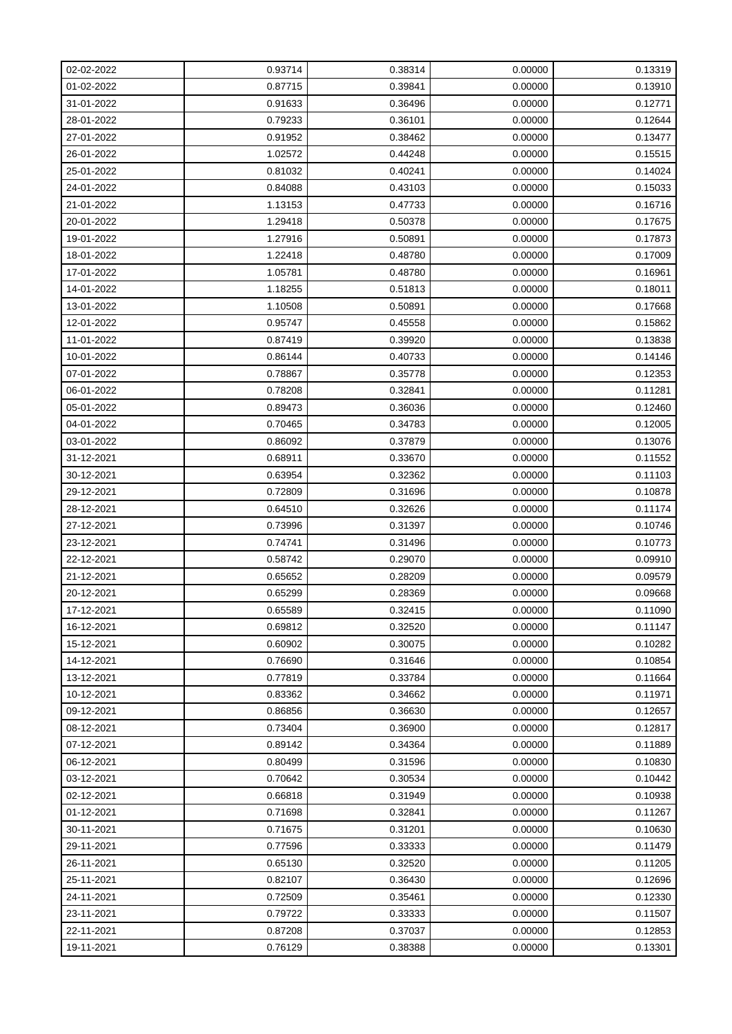| 02-02-2022 | 0.93714 | 0.38314 | 0.00000 | 0.13319 |
|------------|---------|---------|---------|---------|
| 01-02-2022 | 0.87715 | 0.39841 | 0.00000 | 0.13910 |
| 31-01-2022 | 0.91633 | 0.36496 | 0.00000 | 0.12771 |
| 28-01-2022 | 0.79233 | 0.36101 | 0.00000 | 0.12644 |
| 27-01-2022 | 0.91952 | 0.38462 | 0.00000 | 0.13477 |
| 26-01-2022 | 1.02572 | 0.44248 | 0.00000 | 0.15515 |
| 25-01-2022 | 0.81032 | 0.40241 | 0.00000 | 0.14024 |
| 24-01-2022 | 0.84088 | 0.43103 | 0.00000 | 0.15033 |
| 21-01-2022 | 1.13153 | 0.47733 | 0.00000 | 0.16716 |
| 20-01-2022 | 1.29418 | 0.50378 | 0.00000 | 0.17675 |
| 19-01-2022 | 1.27916 | 0.50891 | 0.00000 | 0.17873 |
| 18-01-2022 | 1.22418 | 0.48780 | 0.00000 | 0.17009 |
| 17-01-2022 | 1.05781 | 0.48780 | 0.00000 | 0.16961 |
| 14-01-2022 | 1.18255 | 0.51813 | 0.00000 | 0.18011 |
| 13-01-2022 | 1.10508 | 0.50891 | 0.00000 | 0.17668 |
| 12-01-2022 | 0.95747 | 0.45558 | 0.00000 | 0.15862 |
| 11-01-2022 | 0.87419 | 0.39920 | 0.00000 | 0.13838 |
| 10-01-2022 | 0.86144 | 0.40733 | 0.00000 | 0.14146 |
| 07-01-2022 | 0.78867 | 0.35778 | 0.00000 | 0.12353 |
| 06-01-2022 | 0.78208 | 0.32841 | 0.00000 | 0.11281 |
| 05-01-2022 | 0.89473 | 0.36036 | 0.00000 | 0.12460 |
| 04-01-2022 | 0.70465 | 0.34783 | 0.00000 | 0.12005 |
| 03-01-2022 | 0.86092 | 0.37879 | 0.00000 | 0.13076 |
| 31-12-2021 | 0.68911 | 0.33670 | 0.00000 | 0.11552 |
| 30-12-2021 | 0.63954 | 0.32362 | 0.00000 | 0.11103 |
| 29-12-2021 | 0.72809 | 0.31696 | 0.00000 | 0.10878 |
| 28-12-2021 | 0.64510 | 0.32626 | 0.00000 | 0.11174 |
| 27-12-2021 | 0.73996 | 0.31397 | 0.00000 | 0.10746 |
| 23-12-2021 | 0.74741 | 0.31496 | 0.00000 | 0.10773 |
| 22-12-2021 | 0.58742 | 0.29070 | 0.00000 | 0.09910 |
| 21-12-2021 | 0.65652 | 0.28209 | 0.00000 | 0.09579 |
| 20-12-2021 | 0.65299 | 0.28369 | 0.00000 | 0.09668 |
| 17-12-2021 | 0.65589 | 0.32415 | 0.00000 | 0.11090 |
| 16-12-2021 | 0.69812 | 0.32520 | 0.00000 | 0.11147 |
| 15-12-2021 | 0.60902 | 0.30075 | 0.00000 | 0.10282 |
| 14-12-2021 | 0.76690 | 0.31646 | 0.00000 | 0.10854 |
| 13-12-2021 | 0.77819 | 0.33784 | 0.00000 | 0.11664 |
| 10-12-2021 | 0.83362 | 0.34662 | 0.00000 | 0.11971 |
| 09-12-2021 | 0.86856 | 0.36630 | 0.00000 | 0.12657 |
| 08-12-2021 | 0.73404 | 0.36900 | 0.00000 | 0.12817 |
| 07-12-2021 | 0.89142 | 0.34364 | 0.00000 | 0.11889 |
| 06-12-2021 | 0.80499 | 0.31596 | 0.00000 | 0.10830 |
| 03-12-2021 | 0.70642 | 0.30534 | 0.00000 | 0.10442 |
| 02-12-2021 | 0.66818 | 0.31949 | 0.00000 | 0.10938 |
| 01-12-2021 | 0.71698 | 0.32841 | 0.00000 | 0.11267 |
| 30-11-2021 | 0.71675 | 0.31201 | 0.00000 | 0.10630 |
| 29-11-2021 | 0.77596 | 0.33333 | 0.00000 | 0.11479 |
| 26-11-2021 | 0.65130 | 0.32520 | 0.00000 | 0.11205 |
| 25-11-2021 | 0.82107 | 0.36430 | 0.00000 | 0.12696 |
| 24-11-2021 | 0.72509 | 0.35461 | 0.00000 | 0.12330 |
| 23-11-2021 | 0.79722 | 0.33333 | 0.00000 | 0.11507 |
| 22-11-2021 | 0.87208 | 0.37037 | 0.00000 | 0.12853 |
| 19-11-2021 | 0.76129 | 0.38388 | 0.00000 | 0.13301 |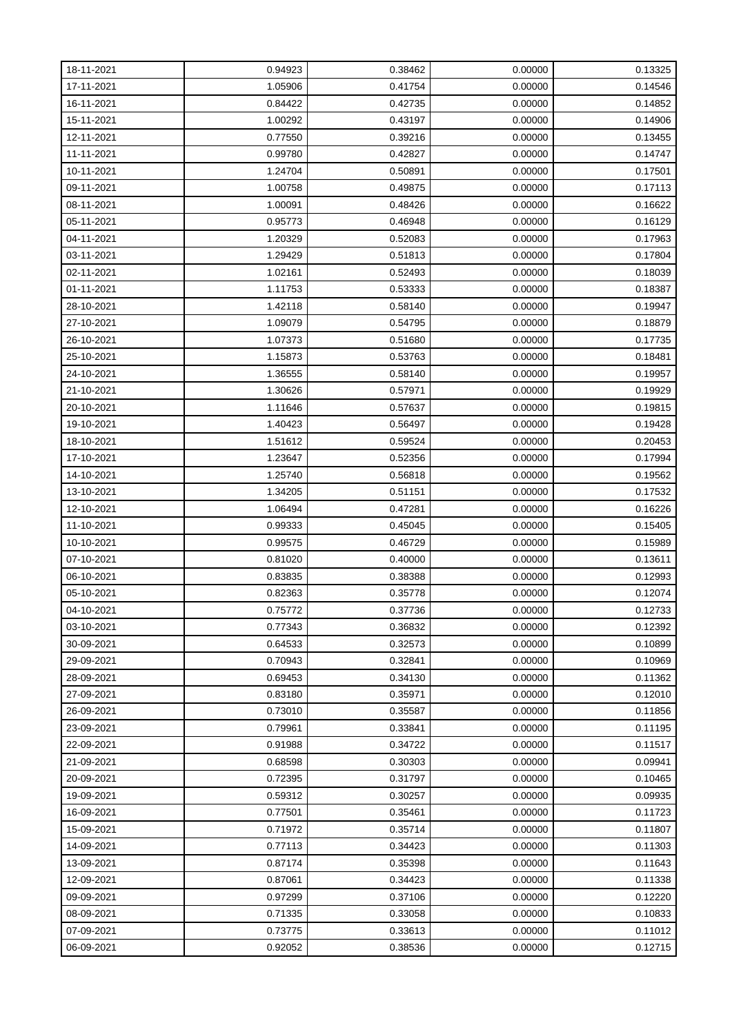| 18-11-2021 | 0.94923 | 0.38462 | 0.00000 | 0.13325 |
|------------|---------|---------|---------|---------|
| 17-11-2021 | 1.05906 | 0.41754 | 0.00000 | 0.14546 |
| 16-11-2021 | 0.84422 | 0.42735 | 0.00000 | 0.14852 |
| 15-11-2021 | 1.00292 | 0.43197 | 0.00000 | 0.14906 |
| 12-11-2021 | 0.77550 | 0.39216 | 0.00000 | 0.13455 |
| 11-11-2021 | 0.99780 | 0.42827 | 0.00000 | 0.14747 |
| 10-11-2021 | 1.24704 | 0.50891 | 0.00000 | 0.17501 |
| 09-11-2021 | 1.00758 | 0.49875 | 0.00000 | 0.17113 |
| 08-11-2021 | 1.00091 | 0.48426 | 0.00000 | 0.16622 |
| 05-11-2021 | 0.95773 | 0.46948 | 0.00000 | 0.16129 |
| 04-11-2021 | 1.20329 | 0.52083 | 0.00000 | 0.17963 |
| 03-11-2021 | 1.29429 | 0.51813 | 0.00000 | 0.17804 |
| 02-11-2021 | 1.02161 | 0.52493 | 0.00000 | 0.18039 |
| 01-11-2021 | 1.11753 | 0.53333 | 0.00000 | 0.18387 |
| 28-10-2021 | 1.42118 | 0.58140 | 0.00000 | 0.19947 |
| 27-10-2021 | 1.09079 | 0.54795 | 0.00000 | 0.18879 |
| 26-10-2021 | 1.07373 | 0.51680 | 0.00000 | 0.17735 |
| 25-10-2021 | 1.15873 | 0.53763 | 0.00000 | 0.18481 |
| 24-10-2021 | 1.36555 | 0.58140 | 0.00000 | 0.19957 |
| 21-10-2021 | 1.30626 | 0.57971 | 0.00000 | 0.19929 |
| 20-10-2021 | 1.11646 | 0.57637 | 0.00000 | 0.19815 |
| 19-10-2021 | 1.40423 | 0.56497 | 0.00000 | 0.19428 |
| 18-10-2021 | 1.51612 | 0.59524 | 0.00000 | 0.20453 |
| 17-10-2021 | 1.23647 | 0.52356 | 0.00000 | 0.17994 |
| 14-10-2021 | 1.25740 | 0.56818 | 0.00000 | 0.19562 |
| 13-10-2021 | 1.34205 | 0.51151 | 0.00000 | 0.17532 |
| 12-10-2021 | 1.06494 | 0.47281 | 0.00000 | 0.16226 |
| 11-10-2021 | 0.99333 | 0.45045 | 0.00000 | 0.15405 |
| 10-10-2021 | 0.99575 | 0.46729 | 0.00000 | 0.15989 |
| 07-10-2021 | 0.81020 | 0.40000 | 0.00000 | 0.13611 |
| 06-10-2021 | 0.83835 | 0.38388 | 0.00000 | 0.12993 |
| 05-10-2021 | 0.82363 | 0.35778 | 0.00000 | 0.12074 |
| 04-10-2021 | 0.75772 | 0.37736 | 0.00000 | 0.12733 |
| 03-10-2021 | 0.77343 | 0.36832 | 0.00000 | 0.12392 |
| 30-09-2021 | 0.64533 | 0.32573 | 0.00000 | 0.10899 |
| 29-09-2021 | 0.70943 | 0.32841 | 0.00000 | 0.10969 |
| 28-09-2021 | 0.69453 | 0.34130 | 0.00000 | 0.11362 |
| 27-09-2021 | 0.83180 | 0.35971 | 0.00000 | 0.12010 |
| 26-09-2021 | 0.73010 | 0.35587 | 0.00000 | 0.11856 |
| 23-09-2021 | 0.79961 | 0.33841 | 0.00000 | 0.11195 |
| 22-09-2021 | 0.91988 | 0.34722 | 0.00000 | 0.11517 |
| 21-09-2021 | 0.68598 | 0.30303 | 0.00000 | 0.09941 |
| 20-09-2021 | 0.72395 | 0.31797 | 0.00000 | 0.10465 |
| 19-09-2021 | 0.59312 | 0.30257 | 0.00000 | 0.09935 |
| 16-09-2021 | 0.77501 | 0.35461 | 0.00000 | 0.11723 |
| 15-09-2021 | 0.71972 | 0.35714 | 0.00000 | 0.11807 |
| 14-09-2021 | 0.77113 | 0.34423 | 0.00000 | 0.11303 |
| 13-09-2021 | 0.87174 | 0.35398 | 0.00000 | 0.11643 |
| 12-09-2021 | 0.87061 | 0.34423 | 0.00000 | 0.11338 |
| 09-09-2021 | 0.97299 | 0.37106 | 0.00000 | 0.12220 |
| 08-09-2021 | 0.71335 | 0.33058 | 0.00000 | 0.10833 |
| 07-09-2021 | 0.73775 | 0.33613 | 0.00000 | 0.11012 |
| 06-09-2021 | 0.92052 | 0.38536 | 0.00000 | 0.12715 |